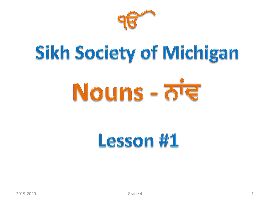

# Sikh Society of Michigan

# Nouns - लंड

# Lesson #1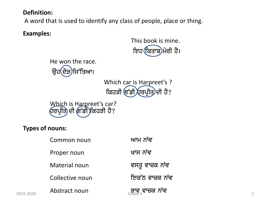# **Definition:**

A word that is used to identify any class of people, place or thing.

**Examples:**

This book is mine. ਇਹ ਕਿਤਾਬ)ਮੇਰੀ ਹੈ।



Common noun ਅਾਮ ਨਾਂਵ Proper noun ਖਾਸ ਨਾਂਵ Material noun ਵਸਤੂ ਵਾਚਕ ਨਾਂਵ Collective noun iek ਵਿਕੱਠ ਵਾਚਕ ਨਾਂਵ  $\frac{1}{2019\text{-}2020}$  Abstract noun  $\frac{1}{2019\text{-}2020}$  and  $\frac{1}{2019\text{-}2020}$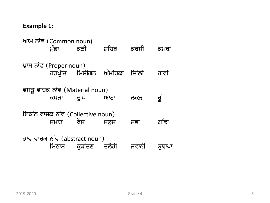#### **Example 1:**

ਆਮ ਨਾਂਵ (Common noun)<br>ਮੁੰਡਾ ਕੁੜੀ ਕੁੜੀ ਸ਼ਹਿਰ ਕੁਰਸੀ ਕਮਰਾ ਖ਼ਾਸ ਨਾਂਵ (Proper noun) ਹਰਪ੍ਰੀਤ ਮਿਸ਼ੀਗਨ ਅੰਮਰਿਕਾ ਦਿੱਲੀ ਰਾਵੀ ਵਸਤੂ ਵਾਚਕ ਨਾਂਵ (Material noun) ਕਪੜਾ ਦੁੱਧ ਆਟਾ ਲਕੜ ਰੁੰ ਇਕੱਠ ਵਾਚਕ ਨਾਂਵ (Collective noun) ਜਮਾਤ ਫ਼ੌਜ ਜਲੁਸ ਸਭਾ ਗੁੱਛਾ ਭਾਵ ਵਾਚਕ ਨਾਂਵ (abstract noun) ਮਿਠਾਸ ਕੜੱਤਣ ਦਲੇਰੀ ਜਵਾਨੀ ਬਢਾਪ<u>ਾ</u>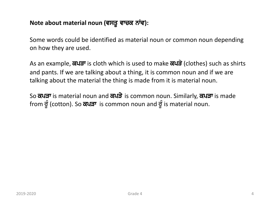# Note about material noun (ਵਸਤੂ ਵਾਚਕ ਨਾਂਵ):

Some words could be identified as material noun or common noun depending on how they are used.

As an example, व्यज्ञ is cloth which is used to make व्यज्ञे (clothes) such as shirts and pants. If we are talking about a thing, it is common noun and if we are talking about the material the thing is made from it is material noun.

So ਕਪੜਾ is material noun and ਕਪੜੇ is common noun. Similarly, ਕਪੜਾ is made from ਚੁੰ (cotton). So ਕਪੜਾ is common noun and ਚੁੰ is material noun.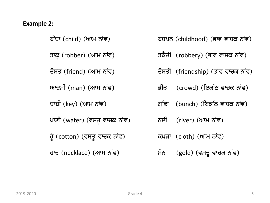#### **Example 2:**

ਬੱਚਾ (child) (ਆਮ ਨਾਂਵ) bcp $\overline{B}$ ਬਚਪਨ (childhood) (ਭਾਵ ਵਾਚਕ ਨਾਂਵ) ਡਾਕੁ (robber) (ਆਮ ਨਾਂਵ)  $\vec{s}$ ਕੈਤੀ (robbery) (ਭਾਵ ਵਾਚਕ ਨਾਂਵ) ਦੋਸਤ (friend) (ਆਮ ਨਾਂਵ) ਵਿਸਤੀ (friendship) (ਭਾਵ ਵਾਚਕ ਨਾਂਵ) ਆਦਮੀ (man) (ਆਮ ਨਾਂਵ) ਭੀੜ (crowd) (ਇਕੱਠ ਵਾਚਕ ਨਾਂਵ) ਚਾਬੀ (key) (ਆਮ ਨਾਂਵ)  $\vec{q}$ ਫ਼ਾਂ (bunch) (ਇਕੱਠ ਵਾਚਕ ਨਾਂਵ) ਪਾਣੀ (water) (ਵਸਤੂ ਵਾਚਕ ਨਾਂਵ)  $\vec{v}$ ਨਦੀ (river) (ਆਮ ਨਾਂਵ) ਰੂੰ (cotton) (ਵਸਤੂ ਵਾਚਕ ਨਾਂਵ)  $\alpha$ ਕਪੜਾ (cloth) (ਆਮ ਨਾਂਵ) ਹਾਰ (necklace) (ਆਮ ਨਾਂਵ)  $\vec{r}$ ਸੋਨਾ (gold) (ਵਸਤੂ ਵਾਚਕ ਨਾਂਵ)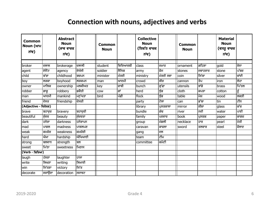# **Connection with nouns, adjectives and verbs**

| <b>Common</b><br>Noun (ਆਮ<br>ਨਾਂਵ) |        | <b>Abstract</b><br><b>Noun</b><br>(ਭਾਵ ਵਾਚਕ<br>ਨਾਂਵ) |          | <b>Common</b><br><b>Noun</b> |          | <b>Collective</b><br><b>Noun</b><br>(ਇਕੱਠ ਵਾਚਕ<br>ਨਾਂਵ) |           | <b>Common</b><br><b>Noun</b> |         | <b>Material</b><br><b>Noun</b><br>(ਵਸਤੂ ਵਾਚਕ<br>ਨਾਂਵ) |       |
|------------------------------------|--------|------------------------------------------------------|----------|------------------------------|----------|---------------------------------------------------------|-----------|------------------------------|---------|-------------------------------------------------------|-------|
| broker                             | ਦਲਾਲ   | brokerage                                            | ਦਲਾਲੀ    | student                      | ਵਿਦਿਆਰਥੀ | class                                                   | ਜਮਾਤ      | ornament                     | ਗਹਿਣਾ   | gold                                                  | ਸੋਨਾ  |
|                                    | ਏਜੈਂਟ  |                                                      | ਏਜੰਸੀ    | soldier                      | ਸੈਨਿਕ    |                                                         | ਫੌਜ       | stones                       |         | stone                                                 | ਪੱਥਰ  |
| agent                              |        | agency                                               |          |                              |          | army                                                    |           |                              | ਜਵਾਹਰਾਤ |                                                       |       |
| child                              | ਬੱਚਾ   | childhood                                            | ਬਚਪਨ     | minister                     | ਮੰਤਰੀ    | ministry                                                | ਮੰਤਰੀ ਸਭਾ | coin                         | ਸਿੱਕਾ   | silver                                                | ਚਾਂਦੀ |
| boy                                | ਲੜਕਾ   | boyhood                                              | ਲੜਕਪਨ    | man                          | ਆਦਮੀ     | crowd                                                   | ਭੀੜ       | cannon                       | ਤੋਪ     | iron                                                  | ਲੋਹਾ  |
| owner                              | ਮਾਲਿਕ  | ownership                                            | ਮਲਕੀਅਤ   | <b>Ikey</b>                  | ਚਾਬੀ     | bunch                                                   | ਗੁੱਛਾ     | utensils                     | ਭਾਂਡੇ   | brass                                                 | ਪਿੱਤਲ |
| robber                             | ਡਾਕੂ   | robbery                                              | ਡਕੈਤੀ    | COW                          | ਗਾਂ      | herd                                                    | ਬੁੰਡ      | cloth                        | ਕਪੜਾ    | cotton                                                | ਰੂੰ   |
| man                                | ਆਦਮੀ   | mankind                                              | ਮਨੁੱਖਤਾ  | bird                         | ਪੰਛੀ     | flock                                                   | ਝੁੰਡ      | table                        | ਮੇਜ਼    | wood                                                  | ਲਕੜੀ  |
| friend                             | ਦੋਸਤ   | friendship                                           | ਦਿਸਤੀ    |                              |          | party                                                   | ਟੋਲਾ      | can                          | ਡੱਬਾ    | tin                                                   | ਟੀਨ   |
| (Adjective - ਵਿਸ਼ੇਸ਼ਣ)             |        |                                                      |          |                              |          | library                                                 | ਪੁਸਤਕਾਲਾ  | mirror                       | ਸ਼ੀਸ਼ਾ  | glass                                                 | ਕੱਚ   |
| brave                              | ਬਹਾਦੁਰ | bravery                                              | ਬਹਾਦੁਰੀ  |                              |          | bundle                                                  | ਗੰਢ       | river                        | ਨਦੀ     | water                                                 | ਪਾਣੀ  |
| beautiful                          | ਸੰਦਰ   | beauty                                               | ਸੰਦਰਤਾ   |                              |          | family                                                  | ਪਰਵਾਰ     | book                         | ਪਸਤਕ    | paper                                                 | ਕਾਗਜ਼ |
| dark                               | ਹਨੇਰਾ  | darkness                                             | ਹਨੇਰਾਪਨ  |                              |          | group                                                   | ਮੰਡਲੀ     | necklace                     | ਹਾਰ     | pearl                                                 | ਮੋਤੀ  |
| mad                                | ਪਾਗਲ   | madness                                              | ਪਾਗਲਪਣ   |                              |          | caravan                                                 | ਕਾਫਲਾ     | sword                        | ਤਲਵਾਰ   | steel                                                 | ਫੌਲਾਦ |
| weak                               | ਕਮਜ਼ੋਰ | weakness                                             | ਕਿਮਜ਼ੋਰੀ |                              |          | gang                                                    | ਦਲ        |                              |         |                                                       |       |
| hard                               | ਔਖਾ    | hardship                                             | ਔਖਿਆਈ    |                              |          | team                                                    | ਟੀਮ       |                              |         |                                                       |       |
| strong                             | ਬਲਵਾਨ  | strength                                             | ਬਲ       |                              |          | committee                                               | ਕਮੇਟੀ     |                              |         |                                                       |       |
| sweet                              | ਮਿੱਠਾ  | sweetness                                            | ਮਿਠਾਸ    |                              |          |                                                         |           |                              |         |                                                       |       |
| (Verb - ਕਿਰਿਆ)                     |        |                                                      |          |                              |          |                                                         |           |                              |         |                                                       |       |
| laugh                              | ਹੱਸਣਾ  | laughter                                             | ਹਾਸਾ     |                              |          |                                                         |           |                              |         |                                                       |       |
| write                              | ਲਿਖਣਾ  | writing                                              | ਲਿਖਾਈ    |                              |          |                                                         |           |                              |         |                                                       |       |
| win                                | ਜਿੱਤਣਾ | victory                                              | ਜਿੱਤ     |                              |          |                                                         |           |                              |         |                                                       |       |
| decorate                           | ਸਜਾਉਣਾ | decoration                                           | ਸਜਾਵਟ    |                              |          |                                                         |           |                              |         |                                                       |       |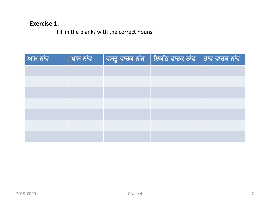# **Exercise 1:**

Fill in the blanks with the correct nouns

| ਆਮ ਨਾਂਵ | ਖ਼ਾਸ ਨਾਂਵ | $\parallel$ ਵਸਤੂ ਵਾਚਕ ਨਾਂੜ $\parallel$ ਇਕੱਠ ਵਾਚਕ ਨਾਂਵ $\parallel$ ਭਾਵ ਵਾਚਕ ਨਾਂਵ $\parallel$ |  |
|---------|-----------|---------------------------------------------------------------------------------------------|--|
|         |           |                                                                                             |  |
|         |           |                                                                                             |  |
|         |           |                                                                                             |  |
|         |           |                                                                                             |  |
|         |           |                                                                                             |  |
|         |           |                                                                                             |  |
|         |           |                                                                                             |  |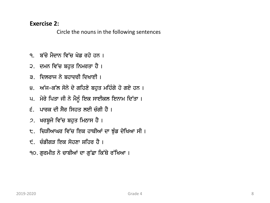#### **Exercise 2:**

Circle the nouns in the following sentences

- ੧. ਬੱਚੇ ਮੈਦਾਨ ਵਿੱਚ ਖੇਡ ਰਹੇ ਹਨ ।
- ੨. ਦਮਨ ਵਿੱਚ ਬਹੁਤ ਨਿਮਰਤਾ ਹੈ ।
- ੩. ਦਿਲਰਾਜ ਨੇ ਬਹਾਦਰੀ ਦਿਖਾਈ ।
- ੪. ਅੱਜ-ਕੱਲ ਸੋਨੇ ਦੇ ਗਹਿਣੇ ਬਹੁਤ ਮਹਿੰਗੇ ਹੋ ਗਏ ਹਨ ।
- ਪ. ਮੇਰੇ ਪਿਤਾ ਜੀ ਨੇ ਮੈਨੂੰ ਇਕ ਸਾਈਕਲ ਇਨਾਮ ਦਿੱਤਾ।
- $\epsilon$ ੁ ਪਾਰਕ ਦੀ ਸੈਰ ਸਿਹਤ ਲਈ ਚੰਗੀ ਹੈ ।
- ੭. ਖਰਬੂਜੇ ਵਿੱਚ ਬਹੁਤ ਮਿਠਾਸ ਹੈ ।
- ੮. ਚਿੜੀਆਘਰ ਵਿੱਚ ਇਕ ਹਾਥੀਆਂ ਦਾ ਝੁੰਡ ਦੇਖਿਆ ਸੀ ।
- ੯. ਚੰਡੀਗੜ ਇਕ ਸੋਹਣਾ ਸ਼ਹਿਰ ਹੈ ।
- ੧੦. ਗੁਰਮੀਤ ਨੇ ਚਾਬੀਆਂ ਦਾ ਗੁੱਛਾ ਕਿੱਥੇ ਰੱਖਿਆ ।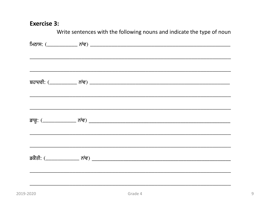## **Exercise 3:**

| Write sentences with the following nouns and indicate the type of noun |
|------------------------------------------------------------------------|
|                                                                        |
|                                                                        |
|                                                                        |
|                                                                        |
|                                                                        |